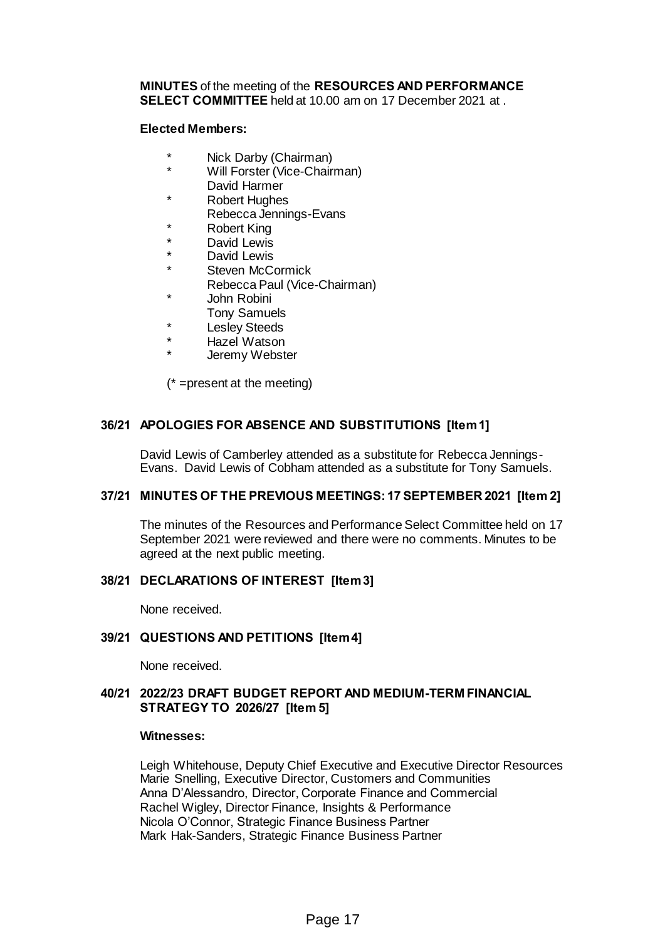### **MINUTES** of the meeting of the **RESOURCES AND PERFORMANCE SELECT COMMITTEE** held at 10.00 am on 17 December 2021 at .

### **Elected Members:**

- Nick Darby (Chairman)
- Will Forster (Vice-Chairman) David Harmer
- **Robert Hughes**
- Rebecca Jennings-Evans
- **Robert King**
- David Lewis
- David Lewis
- Steven McCormick
	- Rebecca Paul (Vice-Chairman)
- John Robini
- Tony Samuels
- **Lesley Steeds**
- **Hazel Watson**
- Jeremy Webster

(\* =present at the meeting)

# **36/21 APOLOGIES FOR ABSENCE AND SUBSTITUTIONS [Item 1]**

David Lewis of Camberley attended as a substitute for Rebecca Jennings-Evans. David Lewis of Cobham attended as a substitute for Tony Samuels.

### **37/21 MINUTES OF THE PREVIOUS MEETINGS: 17 SEPTEMBER 2021 [Item 2]**

The minutes of the Resources and Performance Select Committee held on 17 September 2021 were reviewed and there were no comments. Minutes to be agreed at the next public meeting.

# **38/21 DECLARATIONS OF INTEREST [Item 3]**

None received.

# **39/21 QUESTIONS AND PETITIONS [Item 4]**

None received.

### **40/21 2022/23 DRAFT BUDGET REPORT AND MEDIUM-TERM FINANCIAL STRATEGY TO 2026/27 [Item 5]**

### **Witnesses:**

Leigh Whitehouse, Deputy Chief Executive and Executive Director Resources Marie Snelling, Executive Director, Customers and Communities Anna D'Alessandro, Director, Corporate Finance and Commercial Rachel Wigley, Director Finance, Insights & Performance Nicola O'Connor, Strategic Finance Business Partner Mark Hak-Sanders, Strategic Finance Business Partner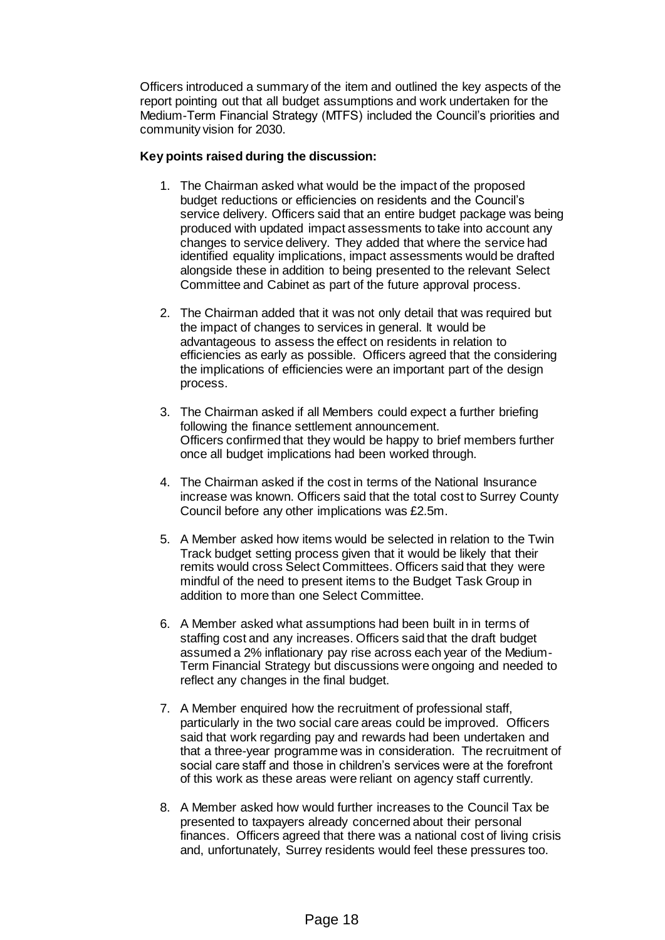Officers introduced a summary of the item and outlined the key aspects of the report pointing out that all budget assumptions and work undertaken for the Medium-Term Financial Strategy (MTFS) included the Council's priorities and community vision for 2030.

# **Key points raised during the discussion:**

- 1. The Chairman asked what would be the impact of the proposed budget reductions or efficiencies on residents and the Council's service delivery. Officers said that an entire budget package was being produced with updated impact assessments to take into account any changes to service delivery. They added that where the service had identified equality implications, impact assessments would be drafted alongside these in addition to being presented to the relevant Select Committee and Cabinet as part of the future approval process.
- 2. The Chairman added that it was not only detail that was required but the impact of changes to services in general. It would be advantageous to assess the effect on residents in relation to efficiencies as early as possible. Officers agreed that the considering the implications of efficiencies were an important part of the design process.
- 3. The Chairman asked if all Members could expect a further briefing following the finance settlement announcement. Officers confirmed that they would be happy to brief members further once all budget implications had been worked through.
- 4. The Chairman asked if the cost in terms of the National Insurance increase was known. Officers said that the total cost to Surrey County Council before any other implications was £2.5m.
- 5. A Member asked how items would be selected in relation to the Twin Track budget setting process given that it would be likely that their remits would cross Select Committees. Officers said that they were mindful of the need to present items to the Budget Task Group in addition to more than one Select Committee.
- 6. A Member asked what assumptions had been built in in terms of staffing cost and any increases. Officers said that the draft budget assumed a 2% inflationary pay rise across each year of the Medium-Term Financial Strategy but discussions were ongoing and needed to reflect any changes in the final budget.
- 7. A Member enquired how the recruitment of professional staff, particularly in the two social care areas could be improved. Officers said that work regarding pay and rewards had been undertaken and that a three-year programme was in consideration. The recruitment of social care staff and those in children's services were at the forefront of this work as these areas were reliant on agency staff currently.
- 8. A Member asked how would further increases to the Council Tax be presented to taxpayers already concerned about their personal finances. Officers agreed that there was a national cost of living crisis and, unfortunately, Surrey residents would feel these pressures too.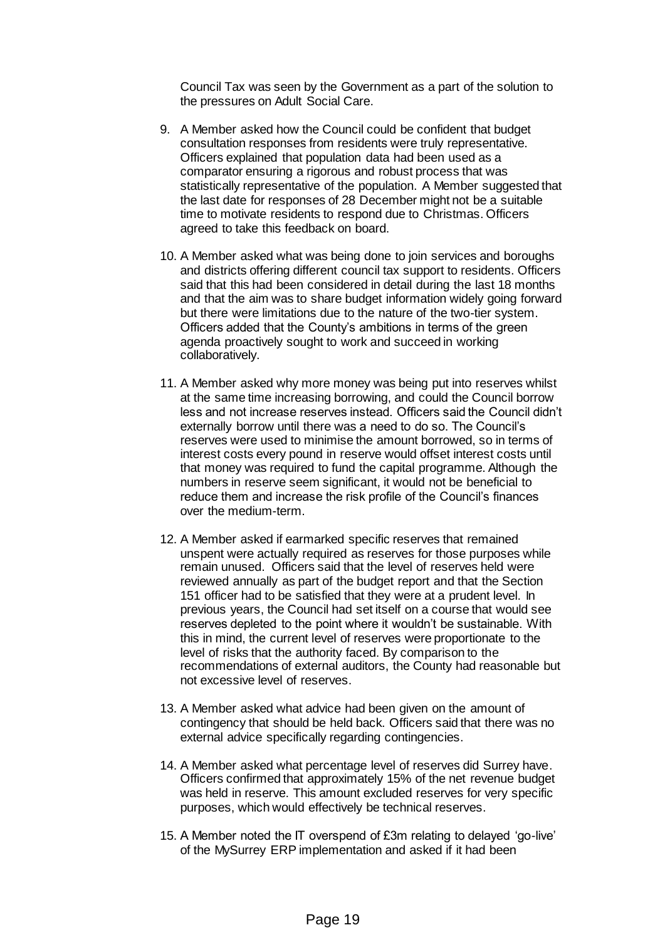Council Tax was seen by the Government as a part of the solution to the pressures on Adult Social Care.

- 9. A Member asked how the Council could be confident that budget consultation responses from residents were truly representative. Officers explained that population data had been used as a comparator ensuring a rigorous and robust process that was statistically representative of the population. A Member suggested that the last date for responses of 28 December might not be a suitable time to motivate residents to respond due to Christmas. Officers agreed to take this feedback on board.
- 10. A Member asked what was being done to join services and boroughs and districts offering different council tax support to residents. Officers said that this had been considered in detail during the last 18 months and that the aim was to share budget information widely going forward but there were limitations due to the nature of the two-tier system. Officers added that the County's ambitions in terms of the green agenda proactively sought to work and succeed in working collaboratively.
- 11. A Member asked why more money was being put into reserves whilst at the same time increasing borrowing, and could the Council borrow less and not increase reserves instead. Officers said the Council didn't externally borrow until there was a need to do so. The Council's reserves were used to minimise the amount borrowed, so in terms of interest costs every pound in reserve would offset interest costs until that money was required to fund the capital programme. Although the numbers in reserve seem significant, it would not be beneficial to reduce them and increase the risk profile of the Council's finances over the medium-term.
- 12. A Member asked if earmarked specific reserves that remained unspent were actually required as reserves for those purposes while remain unused. Officers said that the level of reserves held were reviewed annually as part of the budget report and that the Section 151 officer had to be satisfied that they were at a prudent level. In previous years, the Council had set itself on a course that would see reserves depleted to the point where it wouldn't be sustainable. With this in mind, the current level of reserves were proportionate to the level of risks that the authority faced. By comparison to the recommendations of external auditors, the County had reasonable but not excessive level of reserves.
- 13. A Member asked what advice had been given on the amount of contingency that should be held back. Officers said that there was no external advice specifically regarding contingencies.
- 14. A Member asked what percentage level of reserves did Surrey have. Officers confirmed that approximately 15% of the net revenue budget was held in reserve. This amount excluded reserves for very specific purposes, which would effectively be technical reserves.
- 15. A Member noted the IT overspend of £3m relating to delayed 'go-live' of the MySurrey ERP implementation and asked if it had been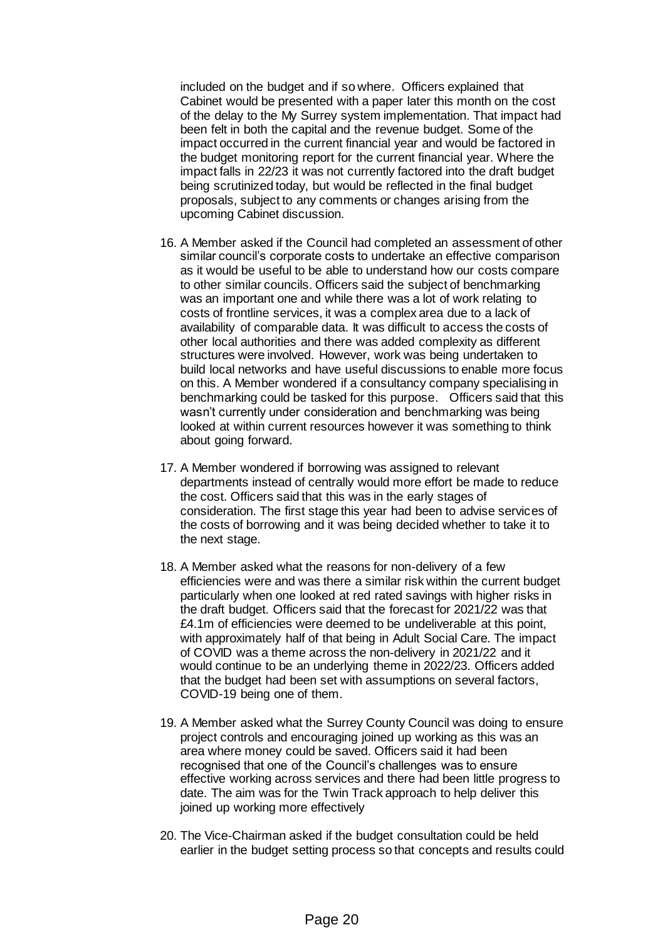included on the budget and if so where. Officers explained that Cabinet would be presented with a paper later this month on the cost of the delay to the My Surrey system implementation. That impact had been felt in both the capital and the revenue budget. Some of the impact occurred in the current financial year and would be factored in the budget monitoring report for the current financial year. Where the impact falls in 22/23 it was not currently factored into the draft budget being scrutinized today, but would be reflected in the final budget proposals, subject to any comments or changes arising from the upcoming Cabinet discussion.

- 16. A Member asked if the Council had completed an assessment of other similar council's corporate costs to undertake an effective comparison as it would be useful to be able to understand how our costs compare to other similar councils. Officers said the subject of benchmarking was an important one and while there was a lot of work relating to costs of frontline services, it was a complex area due to a lack of availability of comparable data. It was difficult to access the costs of other local authorities and there was added complexity as different structures were involved. However, work was being undertaken to build local networks and have useful discussions to enable more focus on this. A Member wondered if a consultancy company specialising in benchmarking could be tasked for this purpose. Officers said that this wasn't currently under consideration and benchmarking was being looked at within current resources however it was something to think about going forward.
- 17. A Member wondered if borrowing was assigned to relevant departments instead of centrally would more effort be made to reduce the cost. Officers said that this was in the early stages of consideration. The first stage this year had been to advise services of the costs of borrowing and it was being decided whether to take it to the next stage.
- 18. A Member asked what the reasons for non-delivery of a few efficiencies were and was there a similar risk within the current budget particularly when one looked at red rated savings with higher risks in the draft budget. Officers said that the forecast for 2021/22 was that £4.1m of efficiencies were deemed to be undeliverable at this point, with approximately half of that being in Adult Social Care. The impact of COVID was a theme across the non-delivery in 2021/22 and it would continue to be an underlying theme in 2022/23. Officers added that the budget had been set with assumptions on several factors, COVID-19 being one of them.
- 19. A Member asked what the Surrey County Council was doing to ensure project controls and encouraging joined up working as this was an area where money could be saved. Officers said it had been recognised that one of the Council's challenges was to ensure effective working across services and there had been little progress to date. The aim was for the Twin Track approach to help deliver this joined up working more effectively
- 20. The Vice-Chairman asked if the budget consultation could be held earlier in the budget setting process so that concepts and results could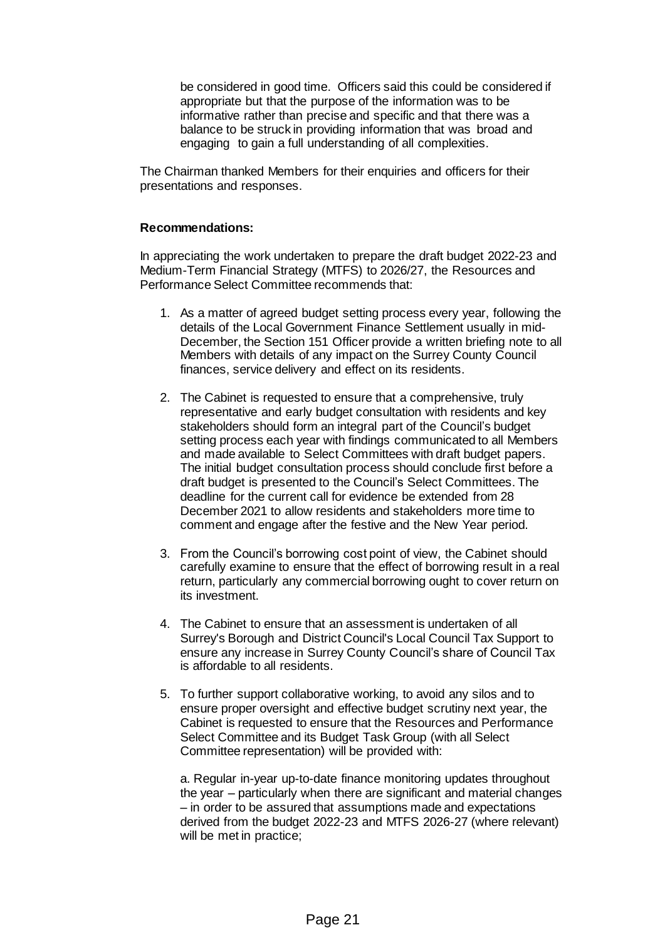be considered in good time. Officers said this could be considered if appropriate but that the purpose of the information was to be informative rather than precise and specific and that there was a balance to be struck in providing information that was broad and engaging to gain a full understanding of all complexities.

The Chairman thanked Members for their enquiries and officers for their presentations and responses.

### **Recommendations:**

In appreciating the work undertaken to prepare the draft budget 2022-23 and Medium-Term Financial Strategy (MTFS) to 2026/27, the Resources and Performance Select Committee recommends that:

- 1. As a matter of agreed budget setting process every year, following the details of the Local Government Finance Settlement usually in mid-December, the Section 151 Officer provide a written briefing note to all Members with details of any impact on the Surrey County Council finances, service delivery and effect on its residents.
- 2. The Cabinet is requested to ensure that a comprehensive, truly representative and early budget consultation with residents and key stakeholders should form an integral part of the Council's budget setting process each year with findings communicated to all Members and made available to Select Committees with draft budget papers. The initial budget consultation process should conclude first before a draft budget is presented to the Council's Select Committees. The deadline for the current call for evidence be extended from 28 December 2021 to allow residents and stakeholders more time to comment and engage after the festive and the New Year period.
- 3. From the Council's borrowing cost point of view, the Cabinet should carefully examine to ensure that the effect of borrowing result in a real return, particularly any commercial borrowing ought to cover return on its investment.
- 4. The Cabinet to ensure that an assessment is undertaken of all Surrey's Borough and District Council's Local Council Tax Support to ensure any increase in Surrey County Council's share of Council Tax is affordable to all residents.
- 5. To further support collaborative working, to avoid any silos and to ensure proper oversight and effective budget scrutiny next year, the Cabinet is requested to ensure that the Resources and Performance Select Committee and its Budget Task Group (with all Select Committee representation) will be provided with:

a. Regular in-year up-to-date finance monitoring updates throughout the year – particularly when there are significant and material changes – in order to be assured that assumptions made and expectations derived from the budget 2022-23 and MTFS 2026-27 (where relevant) will be met in practice;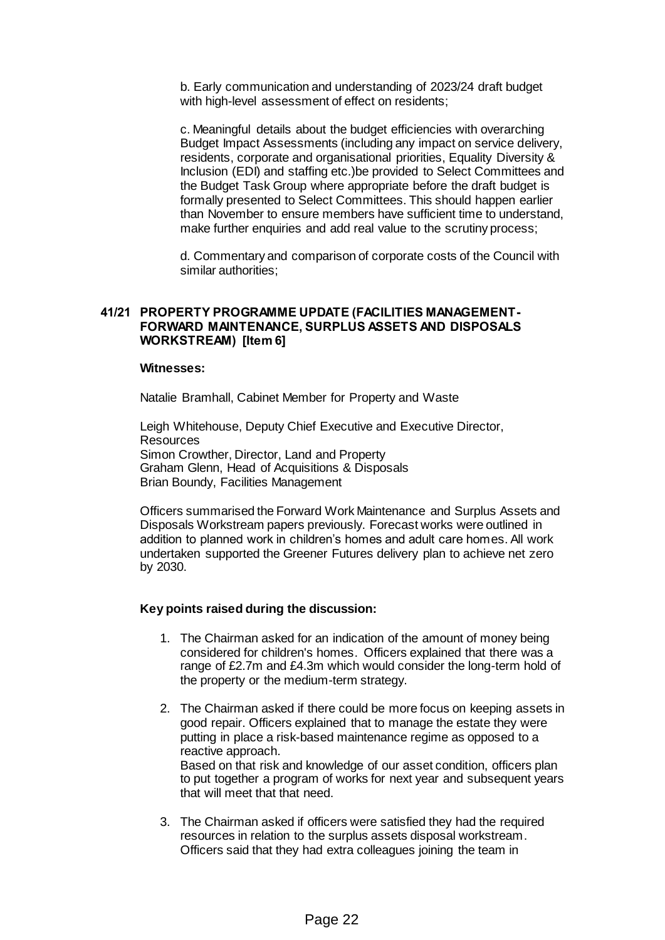b. Early communication and understanding of 2023/24 draft budget with high-level assessment of effect on residents;

c. Meaningful details about the budget efficiencies with overarching Budget Impact Assessments (including any impact on service delivery, residents, corporate and organisational priorities, Equality Diversity & Inclusion (EDI) and staffing etc.)be provided to Select Committees and the Budget Task Group where appropriate before the draft budget is formally presented to Select Committees. This should happen earlier than November to ensure members have sufficient time to understand, make further enquiries and add real value to the scrutiny process;

d. Commentary and comparison of corporate costs of the Council with similar authorities;

# **41/21 PROPERTY PROGRAMME UPDATE (FACILITIES MANAGEMENT-FORWARD MAINTENANCE, SURPLUS ASSETS AND DISPOSALS WORKSTREAM) [Item 6]**

#### **Witnesses:**

Natalie Bramhall, Cabinet Member for Property and Waste

Leigh Whitehouse, Deputy Chief Executive and Executive Director, Resources Simon Crowther, Director, Land and Property Graham Glenn, Head of Acquisitions & Disposals Brian Boundy, Facilities Management

Officers summarised the Forward Work Maintenance and Surplus Assets and Disposals Workstream papers previously. Forecast works were outlined in addition to planned work in children's homes and adult care homes. All work undertaken supported the Greener Futures delivery plan to achieve net zero by 2030.

### **Key points raised during the discussion:**

- 1. The Chairman asked for an indication of the amount of money being considered for children's homes. Officers explained that there was a range of £2.7m and £4.3m which would consider the long-term hold of the property or the medium-term strategy.
- 2. The Chairman asked if there could be more focus on keeping assets in good repair. Officers explained that to manage the estate they were putting in place a risk-based maintenance regime as opposed to a reactive approach. Based on that risk and knowledge of our asset condition, officers plan to put together a program of works for next year and subsequent years that will meet that that need.
- 3. The Chairman asked if officers were satisfied they had the required resources in relation to the surplus assets disposal workstream. Officers said that they had extra colleagues joining the team in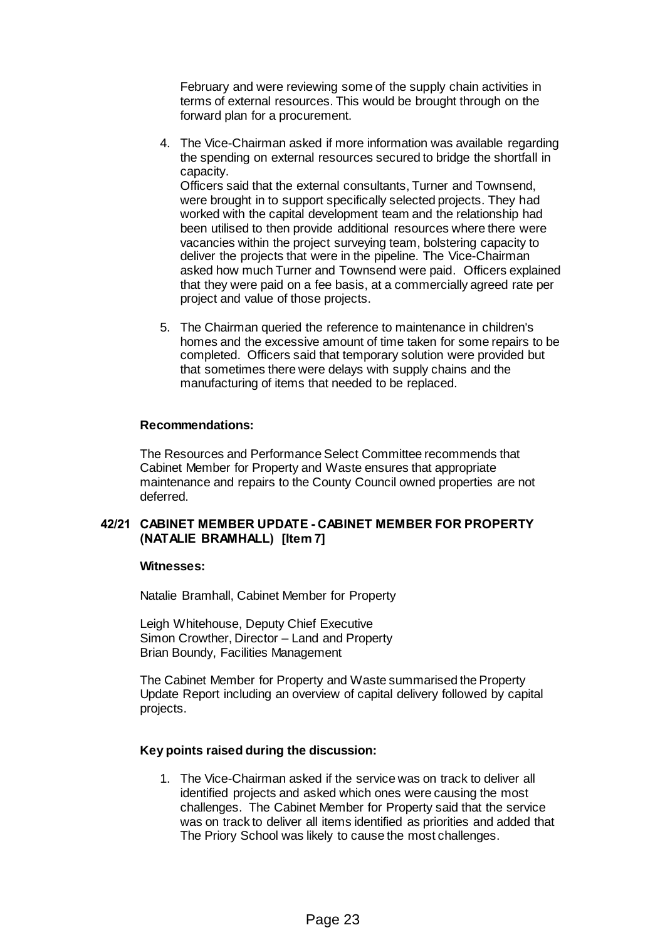February and were reviewing some of the supply chain activities in terms of external resources. This would be brought through on the forward plan for a procurement.

- 4. The Vice-Chairman asked if more information was available regarding the spending on external resources secured to bridge the shortfall in capacity. Officers said that the external consultants, Turner and Townsend, were brought in to support specifically selected projects. They had worked with the capital development team and the relationship had been utilised to then provide additional resources where there were vacancies within the project surveying team, bolstering capacity to deliver the projects that were in the pipeline. The Vice-Chairman
	- asked how much Turner and Townsend were paid. Officers explained that they were paid on a fee basis, at a commercially agreed rate per project and value of those projects.
- 5. The Chairman queried the reference to maintenance in children's homes and the excessive amount of time taken for some repairs to be completed. Officers said that temporary solution were provided but that sometimes there were delays with supply chains and the manufacturing of items that needed to be replaced.

# **Recommendations:**

The Resources and Performance Select Committee recommends that Cabinet Member for Property and Waste ensures that appropriate maintenance and repairs to the County Council owned properties are not deferred.

# **42/21 CABINET MEMBER UPDATE - CABINET MEMBER FOR PROPERTY (NATALIE BRAMHALL) [Item 7]**

# **Witnesses:**

Natalie Bramhall, Cabinet Member for Property

Leigh Whitehouse, Deputy Chief Executive Simon Crowther, Director – Land and Property Brian Boundy, Facilities Management

The Cabinet Member for Property and Waste summarised the Property Update Report including an overview of capital delivery followed by capital projects.

# **Key points raised during the discussion:**

1. The Vice-Chairman asked if the service was on track to deliver all identified projects and asked which ones were causing the most challenges. The Cabinet Member for Property said that the service was on track to deliver all items identified as priorities and added that The Priory School was likely to cause the most challenges.